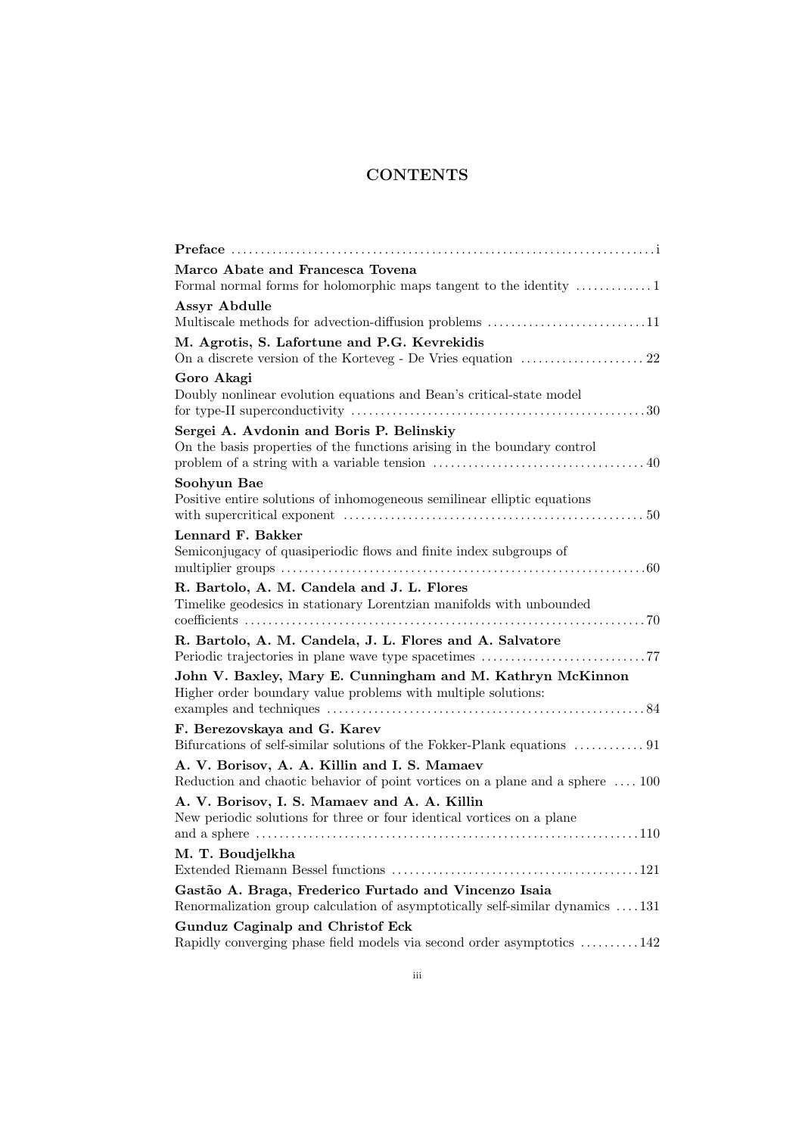## **CONTENTS**

| Marco Abate and Francesca Tovena                                                                                                       |
|----------------------------------------------------------------------------------------------------------------------------------------|
| <b>Assyr Abdulle</b>                                                                                                                   |
| M. Agrotis, S. Lafortune and P.G. Kevrekidis                                                                                           |
| Goro Akagi<br>Doubly nonlinear evolution equations and Bean's critical-state model                                                     |
| Sergei A. Avdonin and Boris P. Belinskiy<br>On the basis properties of the functions arising in the boundary control                   |
| Soohyun Bae<br>Positive entire solutions of inhomogeneous semilinear elliptic equations                                                |
| Lennard F. Bakker<br>Semiconjugacy of quasiperiodic flows and finite index subgroups of                                                |
| R. Bartolo, A. M. Candela and J. L. Flores<br>Timelike geodesics in stationary Lorentzian manifolds with unbounded                     |
| R. Bartolo, A. M. Candela, J. L. Flores and A. Salvatore                                                                               |
| John V. Baxley, Mary E. Cunningham and M. Kathryn McKinnon<br>Higher order boundary value problems with multiple solutions:            |
| F. Berezovskaya and G. Karev                                                                                                           |
| Bifurcations of self-similar solutions of the Fokker-Plank equations<br>$\,\ldots\ldots\ldots\ldots\,91$                               |
| A. V. Borisov, A. A. Killin and I. S. Mamaev<br>Reduction and chaotic behavior of point vortices on a plane and a sphere  100          |
| A. V. Borisov, I. S. Mamaev and A. A. Killin<br>New periodic solutions for three or four identical vortices on a plane                 |
| M. T. Boudjelkha                                                                                                                       |
| Gastão A. Braga, Frederico Furtado and Vincenzo Isaia<br>Renormalization group calculation of asymptotically self-similar dynamics 131 |
| Gunduz Caginalp and Christof Eck<br>Rapidly converging phase field models via second order asymptotics 142                             |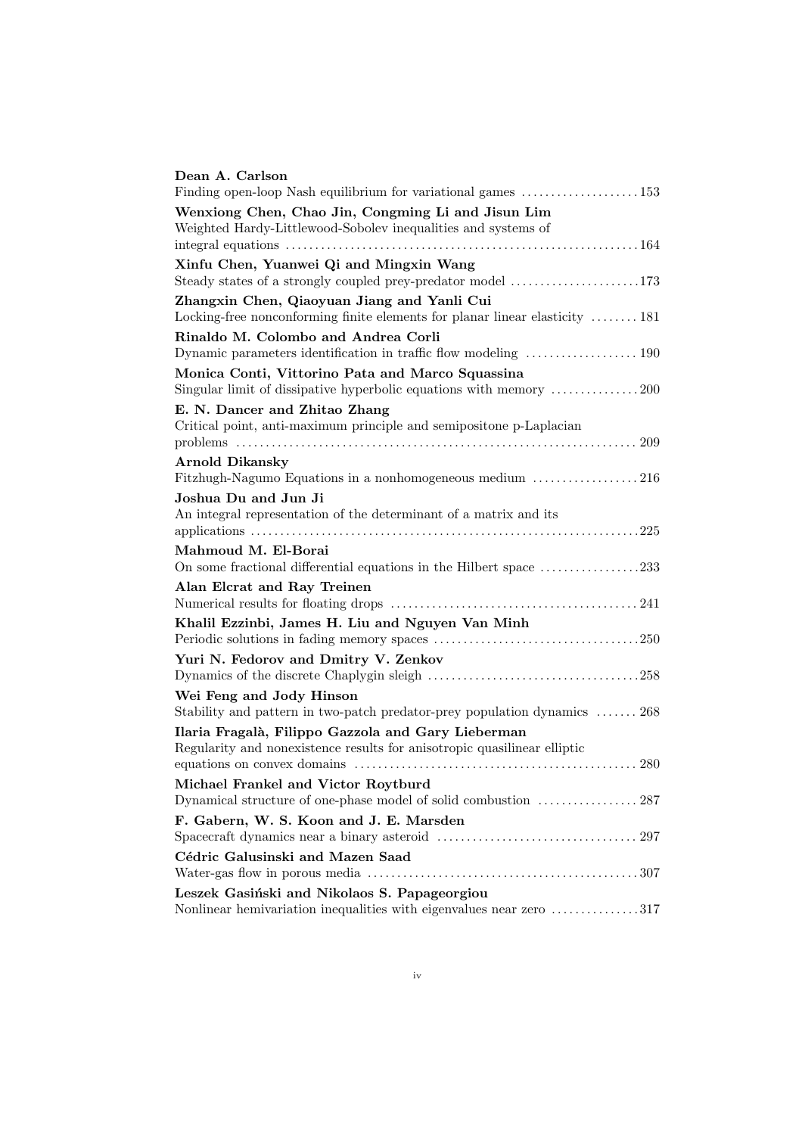| Dean A. Carlson                                                                                                                |
|--------------------------------------------------------------------------------------------------------------------------------|
|                                                                                                                                |
| Wenxiong Chen, Chao Jin, Congming Li and Jisun Lim<br>Weighted Hardy-Littlewood-Sobolev inequalities and systems of            |
| Xinfu Chen, Yuanwei Qi and Mingxin Wang<br>Steady states of a strongly coupled prey-predator model 173                         |
| Zhangxin Chen, Qiaoyuan Jiang and Yanli Cui<br>Locking-free nonconforming finite elements for planar linear elasticity  181    |
| Rinaldo M. Colombo and Andrea Corli<br>Dynamic parameters identification in traffic flow modeling  190                         |
| Monica Conti, Vittorino Pata and Marco Squassina<br>Singular limit of dissipative hyperbolic equations with memory 200         |
| E. N. Dancer and Zhitao Zhang<br>Critical point, anti-maximum principle and semipositone p-Laplacian                           |
| <b>Arnold Dikansky</b><br>Fitzhugh-Nagumo Equations in a nonhomogeneous medium 216                                             |
| Joshua Du and Jun Ji<br>An integral representation of the determinant of a matrix and its                                      |
| Mahmoud M. El-Borai<br>On some fractional differential equations in the Hilbert space $\dots\dots\dots\dots\dots 233$          |
| Alan Elcrat and Ray Treinen                                                                                                    |
| Khalil Ezzinbi, James H. Liu and Nguyen Van Minh                                                                               |
| Yuri N. Fedorov and Dmitry V. Zenkov                                                                                           |
| Wei Feng and Jody Hinson<br>Stability and pattern in two-patch predator-prey population dynamics  268                          |
| Ilaria Fragalà, Filippo Gazzola and Gary Lieberman<br>Regularity and nonexistence results for anisotropic quasilinear elliptic |
| Michael Frankel and Victor Roytburd<br>Dynamical structure of one-phase model of solid combustion  287                         |
| F. Gabern, W. S. Koon and J. E. Marsden                                                                                        |
| Cédric Galusinski and Mazen Saad                                                                                               |
| Leszek Gasiński and Nikolaos S. Papageorgiou<br>Nonlinear hemivariation inequalities with eigenvalues near zero 317            |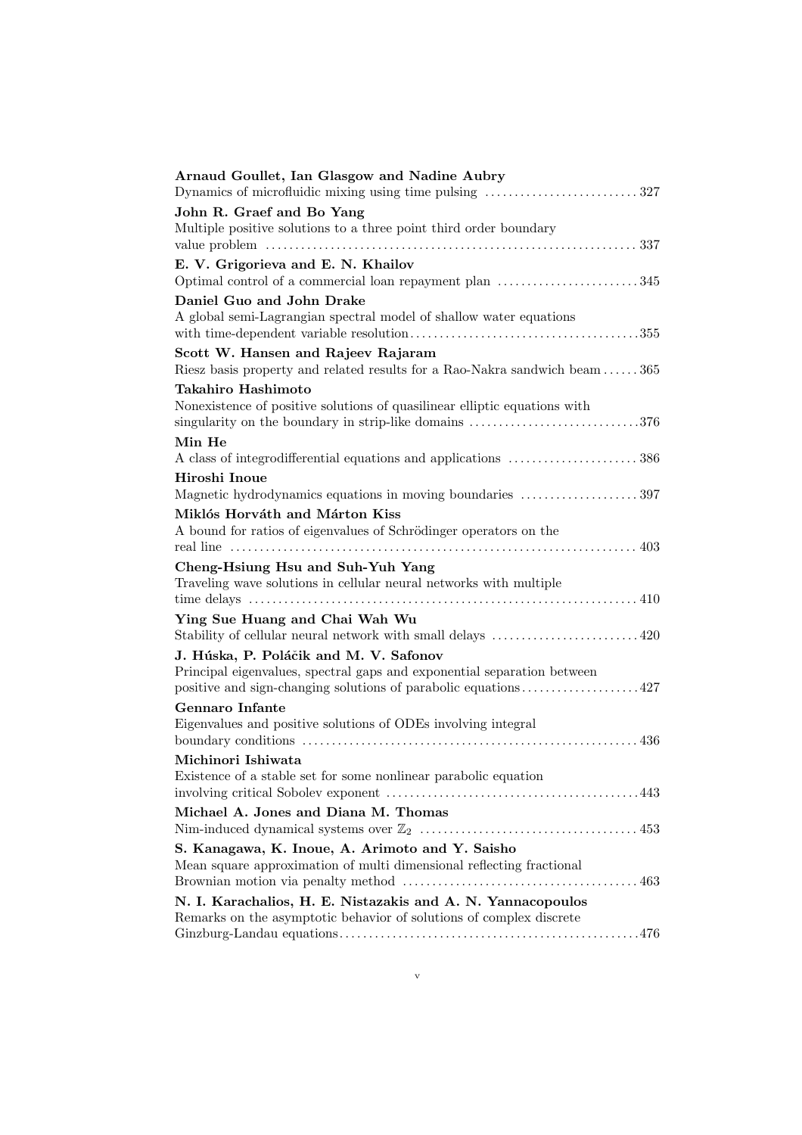| Arnaud Goullet, Ian Glasgow and Nadine Aubry                                |
|-----------------------------------------------------------------------------|
| John R. Graef and Bo Yang                                                   |
| Multiple positive solutions to a three point third order boundary           |
| 337                                                                         |
| E. V. Grigorieva and E. N. Khailov                                          |
| Optimal control of a commercial loan repayment plan 345                     |
| Daniel Guo and John Drake                                                   |
| A global semi-Lagrangian spectral model of shallow water equations          |
|                                                                             |
| Scott W. Hansen and Rajeev Rajaram                                          |
| Riesz basis property and related results for a Rao-Nakra sandwich beam  365 |
| Takahiro Hashimoto                                                          |
| Nonexistence of positive solutions of quasilinear elliptic equations with   |
| singularity on the boundary in strip-like domains 376                       |
| Min He                                                                      |
| A class of integrodifferential equations and applications 386               |
| Hiroshi Inoue                                                               |
| Magnetic hydrodynamics equations in moving boundaries 397                   |
| Miklós Horváth and Márton Kiss                                              |
| A bound for ratios of eigenvalues of Schrödinger operators on the           |
|                                                                             |
| Cheng-Hsiung Hsu and Suh-Yuh Yang                                           |
| Traveling wave solutions in cellular neural networks with multiple          |
|                                                                             |
| Ying Sue Huang and Chai Wah Wu                                              |
| Stability of cellular neural network with small delays 420                  |
| J. Húska, P. Poláčik and M. V. Safonov                                      |
| Principal eigenvalues, spectral gaps and exponential separation between     |
|                                                                             |
| <b>Gennaro</b> Infante                                                      |
| Eigenvalues and positive solutions of ODEs involving integral               |
|                                                                             |
| Michinori Ishiwata                                                          |
|                                                                             |
|                                                                             |
| Michael A. Jones and Diana M. Thomas                                        |
|                                                                             |
| S. Kanagawa, K. Inoue, A. Arimoto and Y. Saisho                             |
| Mean square approximation of multi dimensional reflecting fractional        |
|                                                                             |
| N. I. Karachalios, H. E. Nistazakis and A. N. Yannacopoulos                 |
| Remarks on the asymptotic behavior of solutions of complex discrete         |
|                                                                             |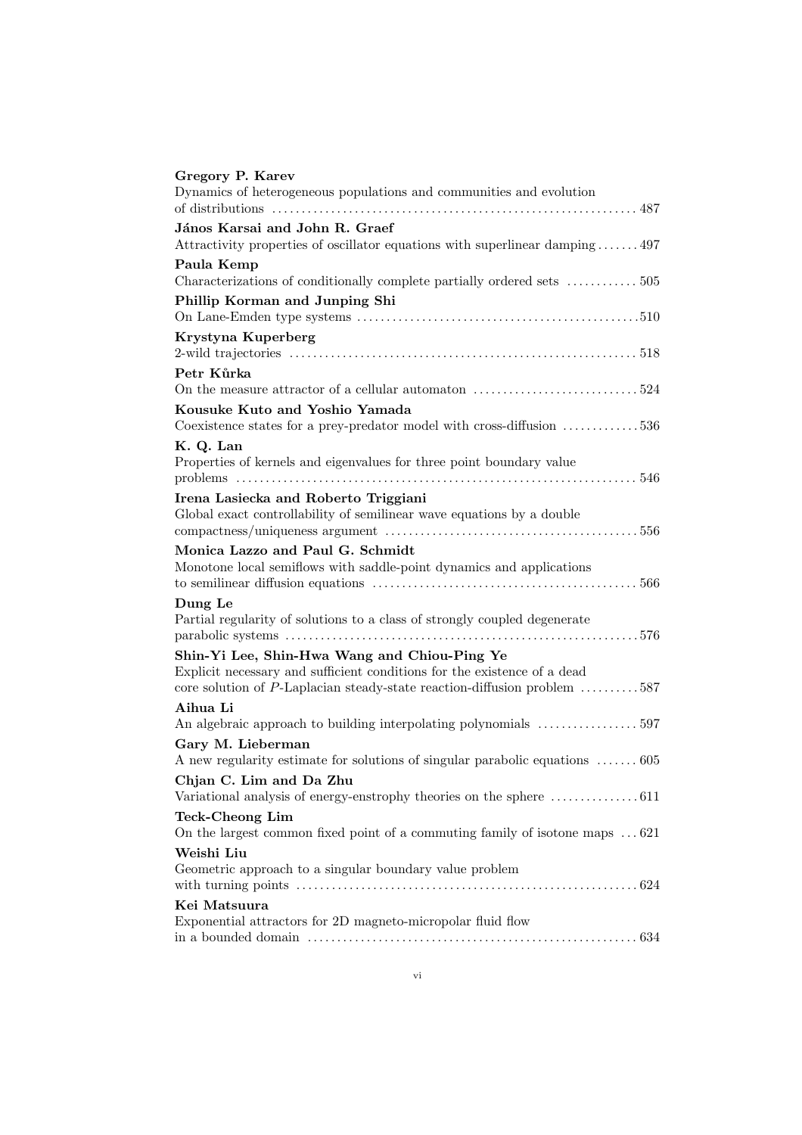| Gregory P. Karev                                                                    |
|-------------------------------------------------------------------------------------|
| Dynamics of heterogeneous populations and communities and evolution                 |
| János Karsai and John R. Graef                                                      |
| Attractivity properties of oscillator equations with superlinear damping 497        |
| Paula Kemp                                                                          |
| Characterizations of conditionally complete partially ordered sets 505              |
| Phillip Korman and Junping Shi                                                      |
| Krystyna Kuperberg                                                                  |
|                                                                                     |
| Petr Kůrka                                                                          |
|                                                                                     |
| Kousuke Kuto and Yoshio Yamada                                                      |
| Coexistence states for a prey-predator model with cross-diffusion 536               |
| K. Q. Lan                                                                           |
| Properties of kernels and eigenvalues for three point boundary value                |
|                                                                                     |
| Irena Lasiecka and Roberto Triggiani                                                |
| Global exact controllability of semilinear wave equations by a double               |
| Monica Lazzo and Paul G. Schmidt                                                    |
| Monotone local semiflows with saddle-point dynamics and applications                |
|                                                                                     |
| Dung Le                                                                             |
| Partial regularity of solutions to a class of strongly coupled degenerate           |
|                                                                                     |
| Shin-Yi Lee, Shin-Hwa Wang and Chiou-Ping Ye                                        |
| Explicit necessary and sufficient conditions for the existence of a dead            |
| core solution of P-Laplacian steady-state reaction-diffusion problem 587            |
| Aihua Li                                                                            |
|                                                                                     |
| Gary M. Lieberman                                                                   |
| A new regularity estimate for solutions of singular parabolic equations  605        |
| Chjan C. Lim and Da Zhu                                                             |
| Variational analysis of energy-enstrophy theories on the sphere 611                 |
| <b>Teck-Cheong Lim</b>                                                              |
| On the largest common fixed point of a commuting family of isotone maps $\dots$ 621 |
| Weishi Liu                                                                          |
| Geometric approach to a singular boundary value problem                             |
|                                                                                     |
| Kei Matsuura                                                                        |
| Exponential attractors for 2D magneto-micropolar fluid flow                         |
|                                                                                     |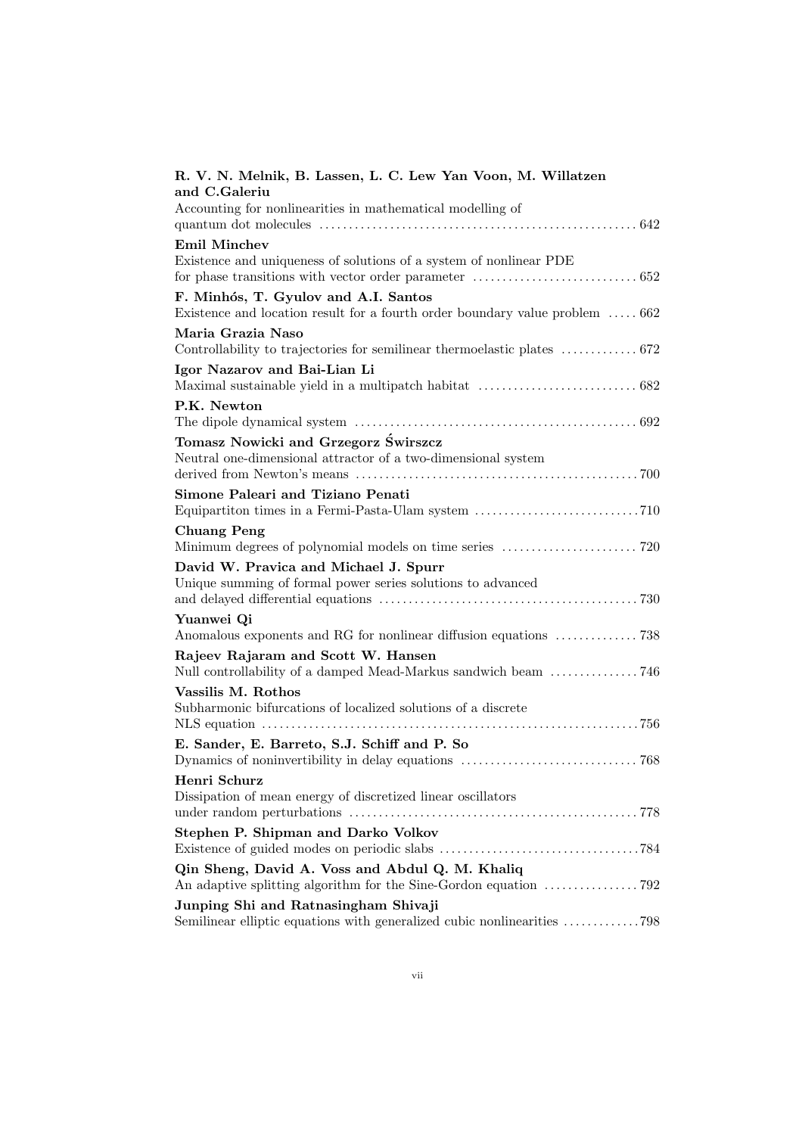| R. V. N. Melnik, B. Lassen, L. C. Lew Yan Voon, M. Willatzen                                                    |
|-----------------------------------------------------------------------------------------------------------------|
| and C.Galeriu                                                                                                   |
| Accounting for nonlinearities in mathematical modelling of                                                      |
|                                                                                                                 |
| <b>Emil Minchev</b>                                                                                             |
| Existence and uniqueness of solutions of a system of nonlinear PDE                                              |
|                                                                                                                 |
| F. Minhós, T. Gyulov and A.I. Santos                                                                            |
| Existence and location result for a fourth order boundary value problem  662                                    |
| Maria Grazia Naso                                                                                               |
|                                                                                                                 |
| Igor Nazarov and Bai-Lian Li                                                                                    |
|                                                                                                                 |
| P.K. Newton                                                                                                     |
|                                                                                                                 |
| Tomasz Nowicki and Grzegorz Świrszcz                                                                            |
| Neutral one-dimensional attractor of a two-dimensional system                                                   |
|                                                                                                                 |
| Simone Paleari and Tiziano Penati                                                                               |
|                                                                                                                 |
| <b>Chuang Peng</b>                                                                                              |
|                                                                                                                 |
| David W. Pravica and Michael J. Spurr                                                                           |
| Unique summing of formal power series solutions to advanced                                                     |
|                                                                                                                 |
| Yuanwei Qi                                                                                                      |
|                                                                                                                 |
| Rajeev Rajaram and Scott W. Hansen                                                                              |
|                                                                                                                 |
| Vassilis M. Rothos                                                                                              |
| Subharmonic bifurcations of localized solutions of a discrete                                                   |
|                                                                                                                 |
| E. Sander, E. Barreto, S.J. Schiff and P. So                                                                    |
|                                                                                                                 |
| Henri Schurz                                                                                                    |
| Dissipation of mean energy of discretized linear oscillators                                                    |
|                                                                                                                 |
| Stephen P. Shipman and Darko Volkov                                                                             |
|                                                                                                                 |
|                                                                                                                 |
| Qin Sheng, David A. Voss and Abdul Q. M. Khaliq                                                                 |
|                                                                                                                 |
| Junping Shi and Ratnasingham Shivaji<br>Semilinear elliptic equations with generalized cubic nonlinearities 798 |